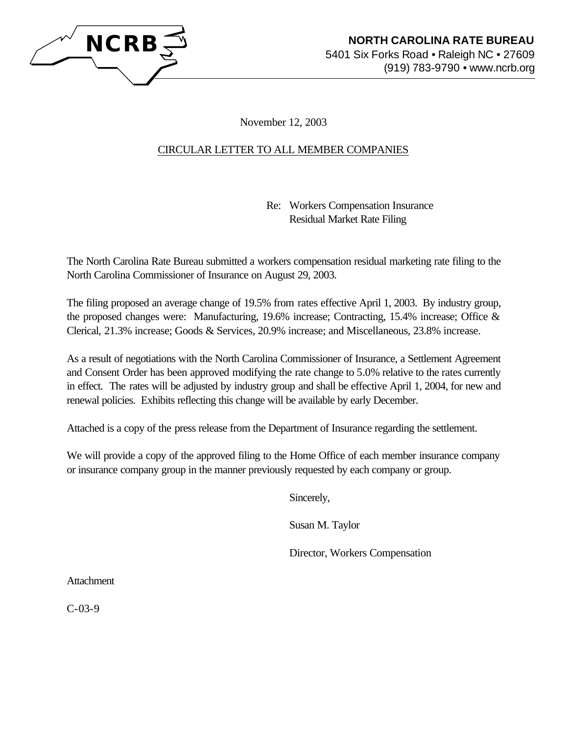

November 12, 2003

## CIRCULAR LETTER TO ALL MEMBER COMPANIES

Re: Workers Compensation Insurance Residual Market Rate Filing

The North Carolina Rate Bureau submitted a workers compensation residual marketing rate filing to the North Carolina Commissioner of Insurance on August 29, 2003.

The filing proposed an average change of 19.5% from rates effective April 1, 2003. By industry group, the proposed changes were: Manufacturing, 19.6% increase; Contracting, 15.4% increase; Office & Clerical, 21.3% increase; Goods & Services, 20.9% increase; and Miscellaneous, 23.8% increase.

As a result of negotiations with the North Carolina Commissioner of Insurance, a Settlement Agreement and Consent Order has been approved modifying the rate change to 5.0% relative to the rates currently in effect. The rates will be adjusted by industry group and shall be effective April 1, 2004, for new and renewal policies. Exhibits reflecting this change will be available by early December.

Attached is a copy of the press release from the Department of Insurance regarding the settlement.

We will provide a copy of the approved filing to the Home Office of each member insurance company or insurance company group in the manner previously requested by each company or group.

Sincerely,

Susan M. Taylor

Director, Workers Compensation

Attachment

C-03-9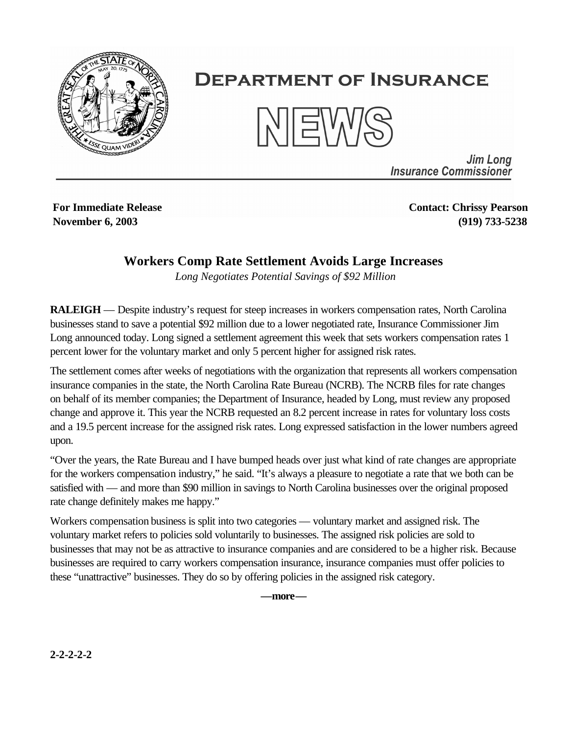

## **DEPARTMENT OF INSURANCE**



**Jim Long Insurance Commissioner** 

**For Immediate Release November 6, 2003**

**Contact: Chrissy Pearson (919) 733-5238**

## **Workers Comp Rate Settlement Avoids Large Increases**

*Long Negotiates Potential Savings of \$92 Million*

**RALEIGH** — Despite industry's request for steep increases in workers compensation rates, North Carolina businesses stand to save a potential \$92 million due to a lower negotiated rate, Insurance Commissioner Jim Long announced today. Long signed a settlement agreement this week that sets workers compensation rates 1 percent lower for the voluntary market and only 5 percent higher for assigned risk rates.

The settlement comes after weeks of negotiations with the organization that represents all workers compensation insurance companies in the state, the North Carolina Rate Bureau (NCRB). The NCRB files for rate changes on behalf of its member companies; the Department of Insurance, headed by Long, must review any proposed change and approve it. This year the NCRB requested an 8.2 percent increase in rates for voluntary loss costs and a 19.5 percent increase for the assigned risk rates. Long expressed satisfaction in the lower numbers agreed upon.

"Over the years, the Rate Bureau and I have bumped heads over just what kind of rate changes are appropriate for the workers compensation industry," he said. "It's always a pleasure to negotiate a rate that we both can be satisfied with — and more than \$90 million in savings to North Carolina businesses over the original proposed rate change definitely makes me happy."

Workers compensation business is split into two categories — voluntary market and assigned risk. The voluntary market refers to policies sold voluntarily to businesses. The assigned risk policies are sold to businesses that may not be as attractive to insurance companies and are considered to be a higher risk. Because businesses are required to carry workers compensation insurance, insurance companies must offer policies to these "unattractive" businesses. They do so by offering policies in the assigned risk category.

**—more—**

**2-2-2-2-2**